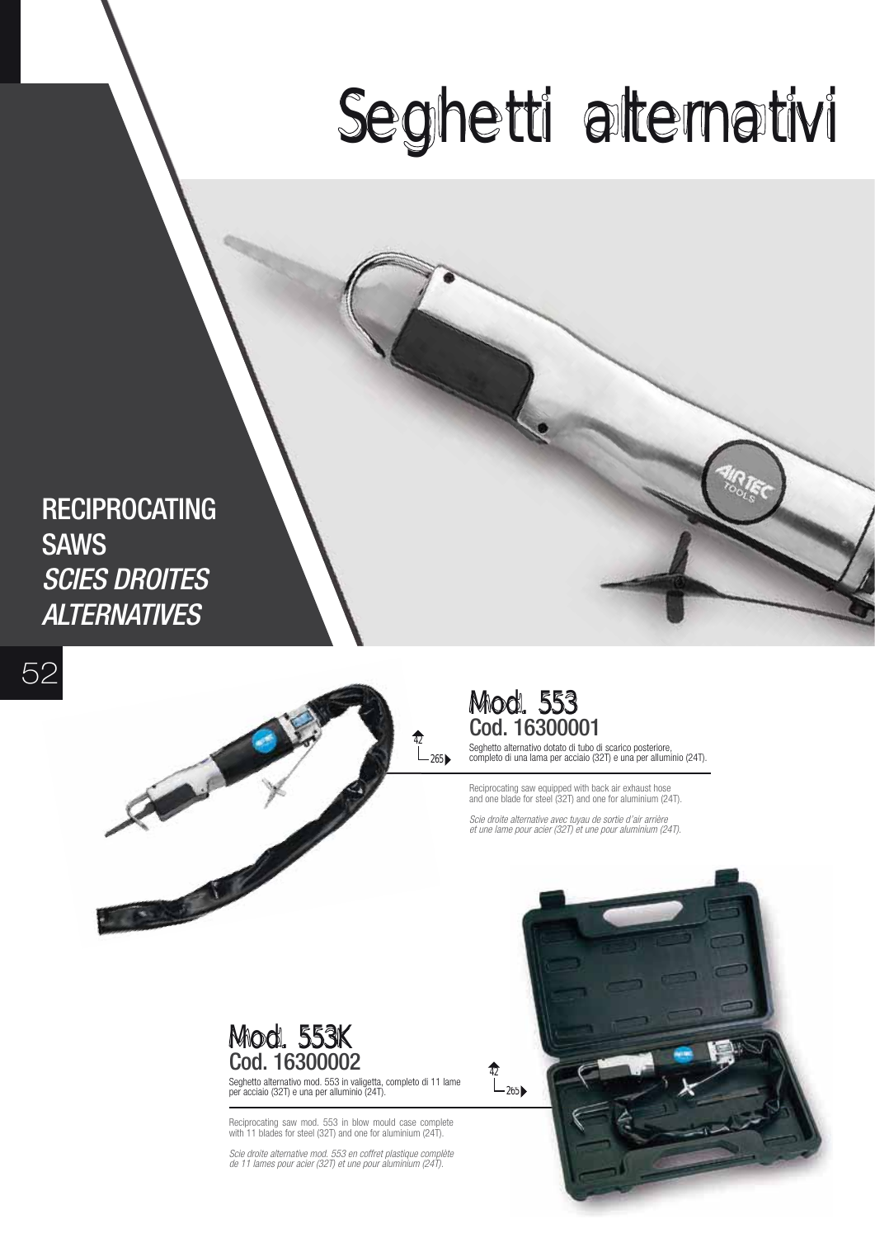## Seghetti alternativi

**RECIPROCATING** SAWS SCIES DROITES **ALTERNATIVES** 





## Mod. 553 Cod. 16300001

Seghetto alternativo dotato di tubo di scarico posteriore, completo di una lama per acciaio (32T) e una per alluminio (24T).

Reciprocating saw equipped with back air exhaust hose and one blade for steel (32T) and one for aluminium (24T).

Scie droite alternative avec tuyau de sortie d'air arrière et une lame pour acier (32T) et une pour aluminium (24T).



Seghetto alternativo mod. 553 in valigetta, completo di 11 lame per acciaio (32T) e una per alluminio (24T).

Reciprocating saw mod. 553 in blow mould case complete with 11 blades for steel (32T) and one for aluminium (24T).

Scie droite alternative mod. 553 en coffret plastique complète de 11 lames pour acier (32T) et une pour aluminium (24T).